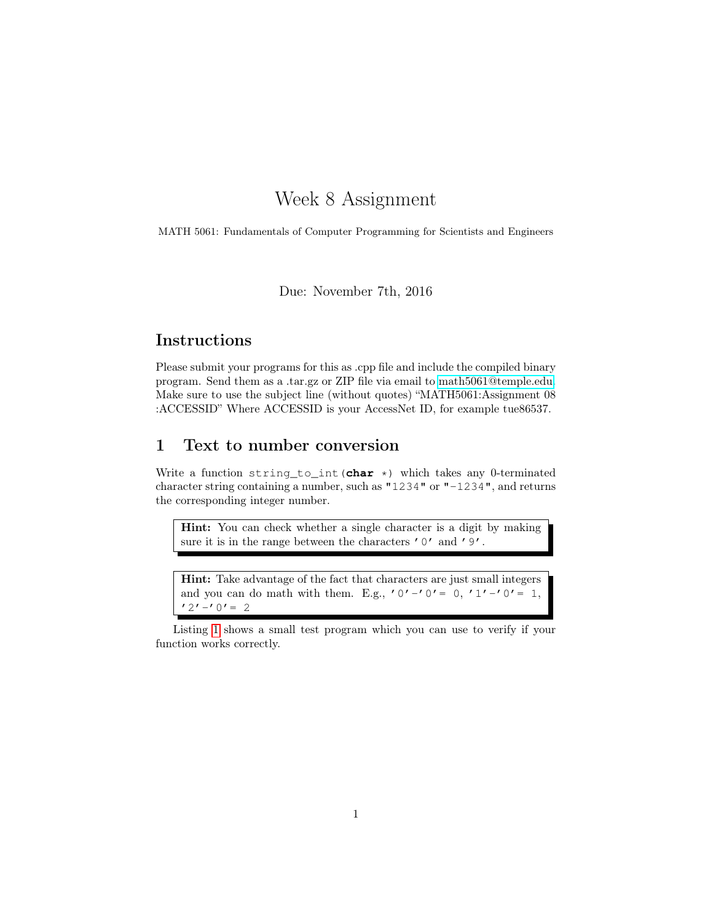# Week 8 Assignment

MATH 5061: Fundamentals of Computer Programming for Scientists and Engineers

Due: November 7th, 2016

## Instructions

Please submit your programs for this as .cpp file and include the compiled binary program. Send them as a .tar.gz or ZIP file via email to [math5061@temple.edu.](mailto:math5061@temple.edu) Make sure to use the subject line (without quotes) "MATH5061:Assignment 08 :ACCESSID" Where ACCESSID is your AccessNet ID, for example tue86537.

### 1 Text to number conversion

Write a function string\_to\_int(**char** \*) which takes any 0-terminated character string containing a number, such as "1234" or "-1234", and returns the corresponding integer number.

Hint: You can check whether a single character is a digit by making sure it is in the range between the characters '0' and '9'.

Hint: Take advantage of the fact that characters are just small integers and you can do math with them. E.g., '0'-'0'= 0, '1'-'0'= 1,  $'2'$  -'0' = 2

Listing [1](#page-1-0) shows a small test program which you can use to verify if your function works correctly.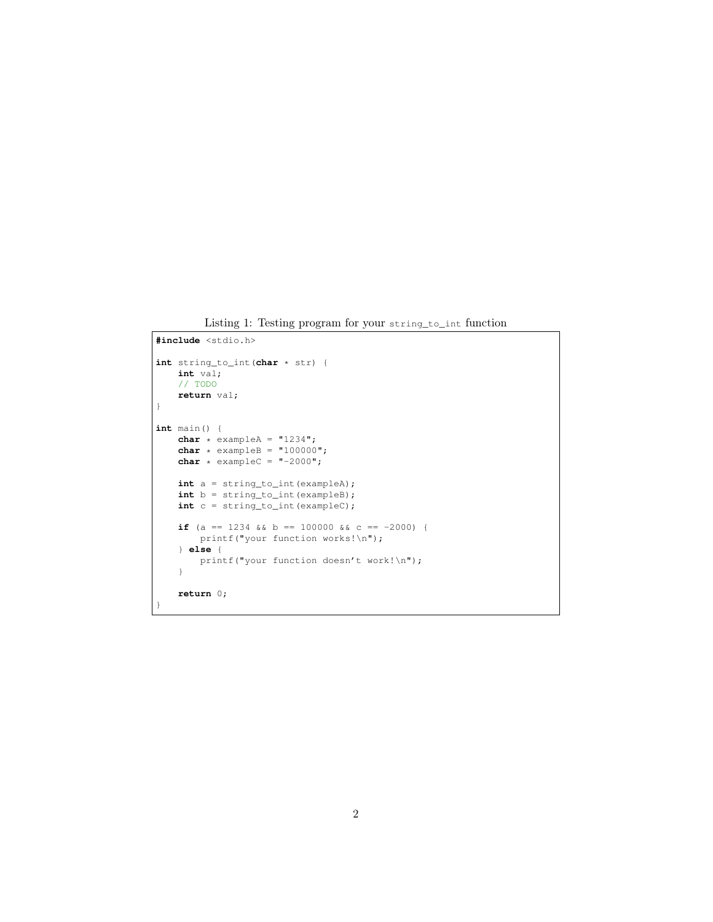Listing 1: Testing program for your string\_to\_int function

```
#include <stdio.h>
int string_to_int(char * str) {
   int val;
   // TODO
   return val;
}
int main() {
   char * exampleA = "1234";
    char * exampleB = "100000";
    char * exampleC = "-2000";int a = string_to_int(exampleA);
   int b = string_to_int(exampleB);
   int c = string_to_int(exampleC);
   if (a == 1234 && b == 100000 && c == -2000) {
       printf("your function works!\n");
    } else {
       printf("your function doesn't work!\n");
    }
    return 0;
}
```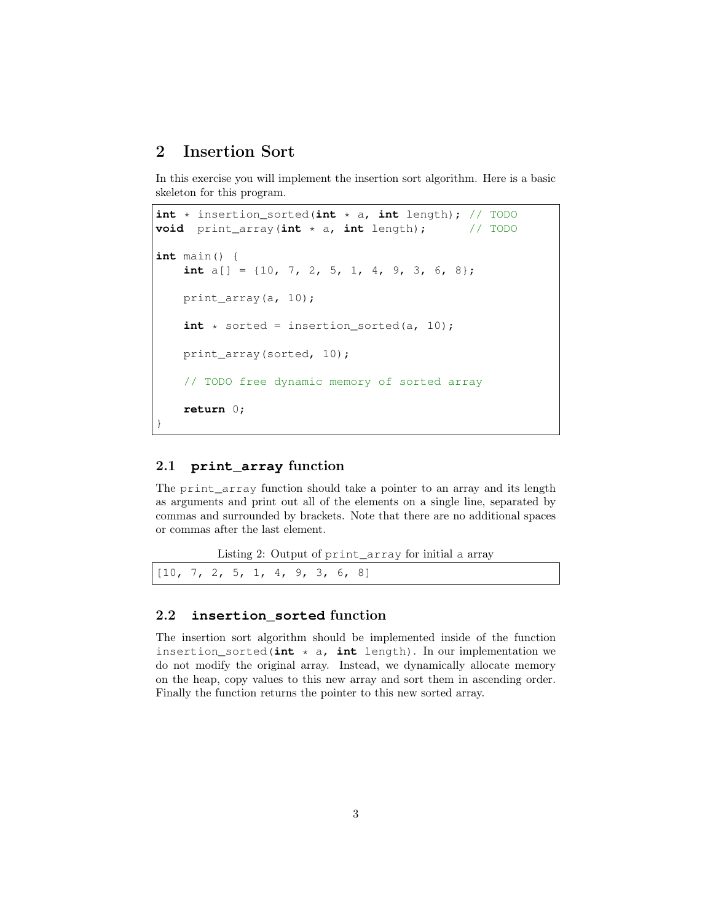### 2 Insertion Sort

In this exercise you will implement the insertion sort algorithm. Here is a basic skeleton for this program.

```
int * insertion_sorted(int * a, int length); // TODO
void print_array(int * a, int length); // TODO
int main() {
    int a[] = {10, 7, 2, 5, 1, 4, 9, 3, 6, 8};
    print_array(a, 10);
    int * sorted = insertion_sorted(a, 10);print_array(sorted, 10);
    // TODO free dynamic memory of sorted array
    return 0;
}
```
#### 2.1 **print\_array** function

The print array function should take a pointer to an array and its length as arguments and print out all of the elements on a single line, separated by commas and surrounded by brackets. Note that there are no additional spaces or commas after the last element.

Listing 2: Output of print\_array for initial a array

|  |  | [10, 7, 2, 5, 1, 4, 9, 3, 6, 8] |
|--|--|---------------------------------|
|--|--|---------------------------------|

### 2.2 **insertion\_sorted** function

The insertion sort algorithm should be implemented inside of the function insertion\_sorted( $int \times a$ ,  $int$  length). In our implementation we do not modify the original array. Instead, we dynamically allocate memory on the heap, copy values to this new array and sort them in ascending order. Finally the function returns the pointer to this new sorted array.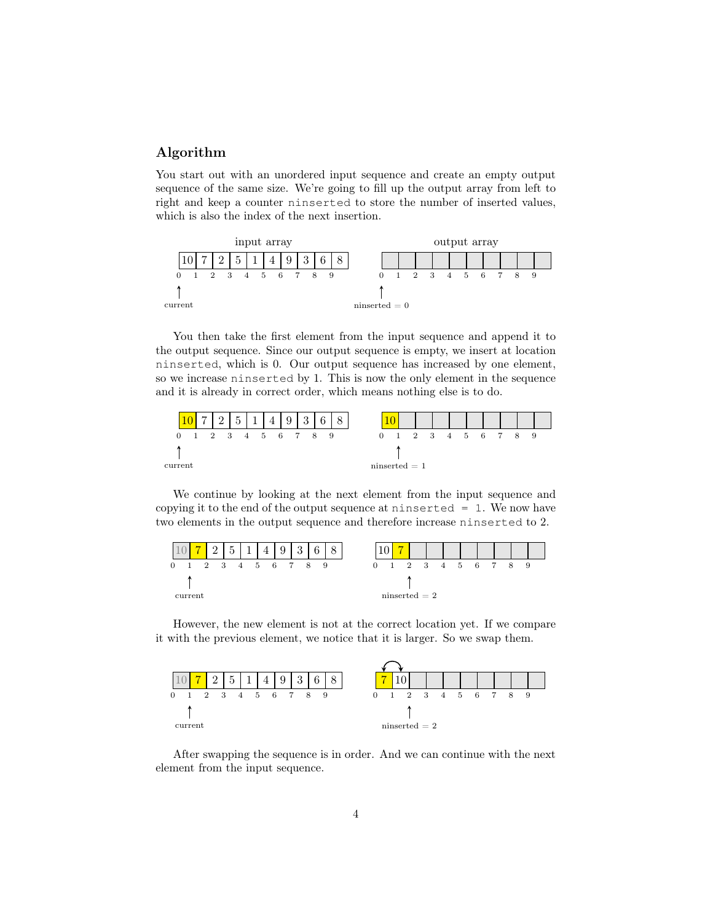#### Algorithm

You start out with an unordered input sequence and create an empty output sequence of the same size. We're going to fill up the output array from left to right and keep a counter ninserted to store the number of inserted values, which is also the index of the next insertion.



You then take the first element from the input sequence and append it to the output sequence. Since our output sequence is empty, we insert at location ninserted, which is 0. Our output sequence has increased by one element, so we increase ninserted by 1. This is now the only element in the sequence and it is already in correct order, which means nothing else is to do.



We continue by looking at the next element from the input sequence and copying it to the end of the output sequence at ninserted  $= 1$ . We now have two elements in the output sequence and therefore increase ninserted to 2.



However, the new element is not at the correct location yet. If we compare it with the previous element, we notice that it is larger. So we swap them.



After swapping the sequence is in order. And we can continue with the next element from the input sequence.